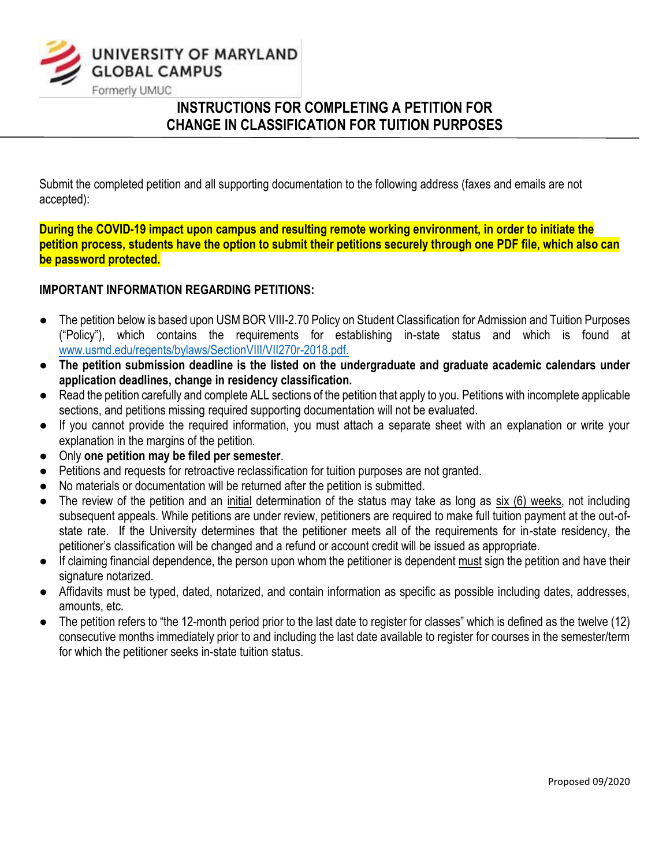

# **INSTRUCTIONS FOR COMPLETING A PETITION FOR CHANGE IN CLASSIFICATION FOR TUITION PURPOSES**

Submit the completed petition and all supporting documentation to the following address (faxes and emails are not accepted):

**During the COVID-19 impact upon campus and resulting remote working environment, in order to initiate the petition process, students have the option to submit their petitions securely through one PDF file, which also can be password protected.** 

# **IMPORTANT INFORMATION REGARDING PETITIONS:**

- The petition below is based upon USM BOR VIII-2.70 Policy on Student Classification for Admission and Tuition Purposes ("Policy"), which contains the requirements for establishing in-state status and which is found at [www.usmd.edu/regents/bylaws/SectionVIII/VII270r-2018.pdf.](http://www.usmd.edu/regents/bylaws/SectionVIII/VII270r-2018.pdf)
- **The petition submission deadline is the listed on the undergraduate and graduate academic calendars under application deadlines, change in residency classification.**
- Read the petition carefully and complete ALL sections of the petition that apply to you. Petitions with incomplete applicable sections, and petitions missing required supporting documentation will not be evaluated.
- If you cannot provide the required information, you must attach a separate sheet with an explanation or write your explanation in the margins of the petition.
- Only **one petition may be filed per semester**.
- Petitions and requests for retroactive reclassification for tuition purposes are not granted.
- No materials or documentation will be returned after the petition is submitted.
- The review of the petition and an initial determination of the status may take as long as six (6) weeks, not including subsequent appeals. While petitions are under review, petitioners are required to make full tuition payment at the out-ofstate rate. If the University determines that the petitioner meets all of the requirements for in-state residency, the petitioner's classification will be changed and a refund or account credit will be issued as appropriate.
- If claiming financial dependence, the person upon whom the petitioner is dependent must sign the petition and have their signature notarized.
- Affidavits must be typed, dated, notarized, and contain information as specific as possible including dates, addresses, amounts, etc.
- The petition refers to "the 12-month period prior to the last date to register for classes" which is defined as the twelve (12) consecutive months immediately prior to and including the last date available to register for courses in the semester/term for which the petitioner seeks in-state tuition status.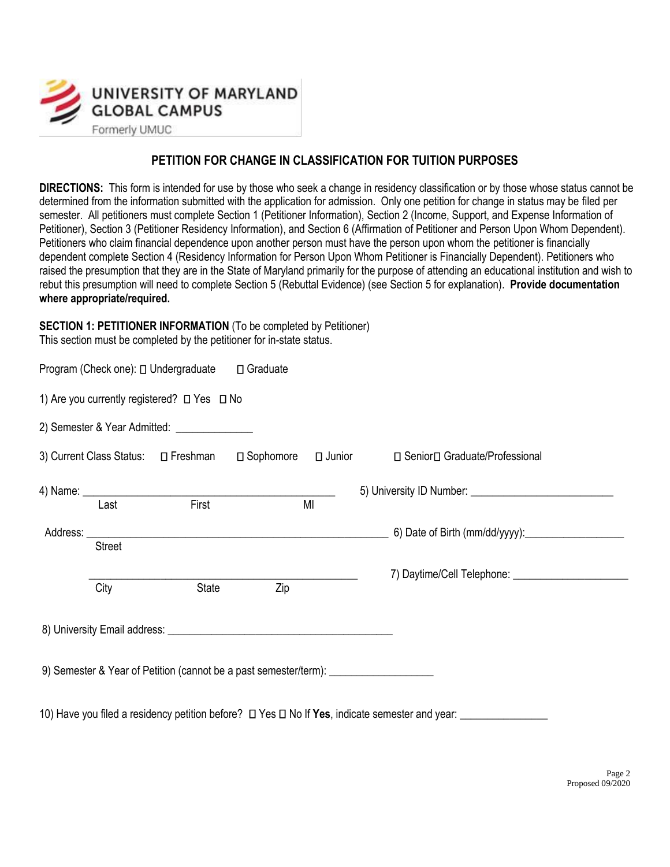

# **PETITION FOR CHANGE IN CLASSIFICATION FOR TUITION PURPOSES**

**DIRECTIONS:** This form is intended for use by those who seek a change in residency classification or by those whose status cannot be determined from the information submitted with the application for admission. Only one petition for change in status may be filed per semester. All petitioners must complete Section 1 (Petitioner Information), Section 2 (Income, Support, and Expense Information of Petitioner), Section 3 (Petitioner Residency Information), and Section 6 (Affirmation of Petitioner and Person Upon Whom Dependent). Petitioners who claim financial dependence upon another person must have the person upon whom the petitioner is financially dependent complete Section 4 (Residency Information for Person Upon Whom Petitioner is Financially Dependent). Petitioners who raised the presumption that they are in the State of Maryland primarily for the purpose of attending an educational institution and wish to rebut this presumption will need to complete Section 5 (Rebuttal Evidence) (see Section 5 for explanation). **Provide documentation where appropriate/required.** 

#### **SECTION 1: PETITIONER INFORMATION** (To be completed by Petitioner) This section must be completed by the petitioner for in-state status.

|               | Program (Check one): □ Undergraduate □ Graduate                                  |     |                                                                                                          |
|---------------|----------------------------------------------------------------------------------|-----|----------------------------------------------------------------------------------------------------------|
|               | 1) Are you currently registered? □ Yes □ No                                      |     |                                                                                                          |
|               | 2) Semester & Year Admitted: ________________                                    |     |                                                                                                          |
|               | 3) Current Class Status: $\square$ Freshman $\square$ Sophomore $\square$ Junior |     | □ Senior□ Graduate/Professional                                                                          |
|               | 4) Name: Last First MI                                                           |     |                                                                                                          |
| <b>Street</b> |                                                                                  |     |                                                                                                          |
| City          | State                                                                            | Zip |                                                                                                          |
|               |                                                                                  |     |                                                                                                          |
|               |                                                                                  |     | 9) Semester & Year of Petition (cannot be a past semester/term): _______________                         |
|               |                                                                                  |     | 10) Have you filed a residency petition before? $\Box$ Yes $\Box$ No If Yes, indicate semester and year: |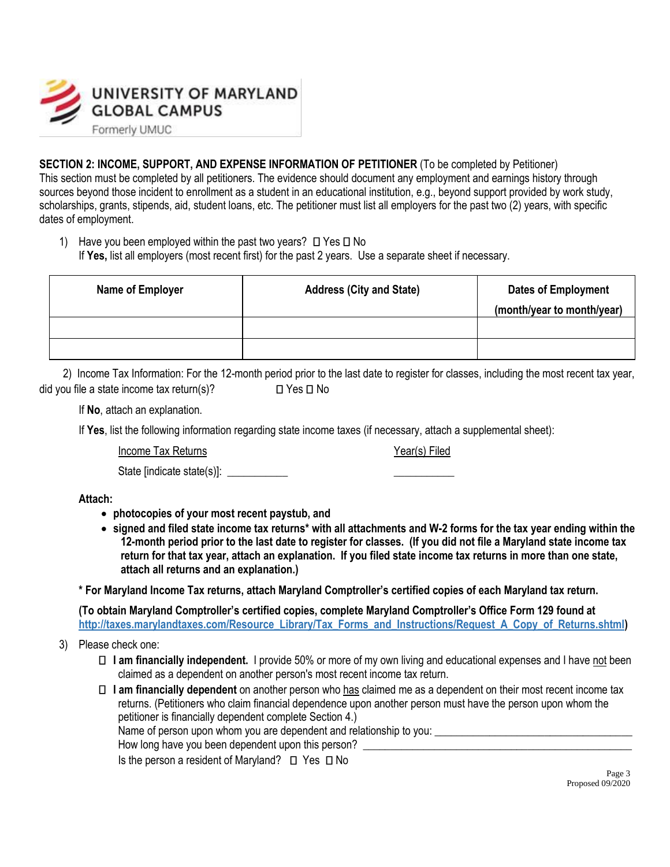

**SECTION 2: INCOME, SUPPORT, AND EXPENSE INFORMATION OF PETITIONER** (To be completed by Petitioner) This section must be completed by all petitioners. The evidence should document any employment and earnings history through sources beyond those incident to enrollment as a student in an educational institution, e.g., beyond support provided by work study, scholarships, grants, stipends, aid, student loans, etc. The petitioner must list all employers for the past two (2) years, with specific dates of employment.

1) Have you been employed within the past two years?  $\Box$  Yes  $\Box$  No If **Yes,** list all employers (most recent first) for the past 2 years. Use a separate sheet if necessary.

| Name of Employer | <b>Address (City and State)</b> | <b>Dates of Employment</b> |
|------------------|---------------------------------|----------------------------|
|                  |                                 | (month/year to month/year) |
|                  |                                 |                            |
|                  |                                 |                            |

2) Income Tax Information: For the 12-month period prior to the last date to register for classes, including the most recent tax year, did you file a state income tax return(s)?  $\square$  Yes  $\square$  No

If **No**, attach an explanation.

If **Yes**, list the following information regarding state income taxes (if necessary, attach a supplemental sheet):

Income Tax Returns **Income Tax Returns Vear(s)** Filed

State [indicate state(s)]:

**Attach:** 

- **photocopies of your most recent paystub, and**
- **signed and filed state income tax returns\* with all attachments and W-2 forms for the tax year ending within the 12-month period prior to the last date to register for classes. (If you did not file a Maryland state income tax return for that tax year, attach an explanation. If you filed state income tax returns in more than one state, attach all returns and an explanation.)**

**\* For Maryland Income Tax returns, attach Maryland Comptroller's certified copies of each Maryland tax return.**

**(To obtain Maryland Comptroller's certified copies, complete Maryland Comptroller's Office Form 129 found at [http://taxes.marylandtaxes.com/Resource\\_Library/Tax\\_Forms\\_and\\_Instructions/Request\\_A\\_Copy\\_of\\_Returns.shtml\)](http://taxes.marylandtaxes.com/Resource_Library/Tax_Forms_and_Instructions/Request_A_Copy_of_Returns.shtml)** 

- 3) Please check one:
	- **I am financially independent.** I provide 50% or more of my own living and educational expenses and I have not been claimed as a dependent on another person's most recent income tax return.
	- **I am financially dependent** on another person who has claimed me as a dependent on their most recent income tax returns. (Petitioners who claim financial dependence upon another person must have the person upon whom the petitioner is financially dependent complete Section 4.) Name of person upon whom you are dependent and relationship to you:

How long have you been dependent upon this person?

Is the person a resident of Maryland?  $\Box$  Yes  $\Box$  No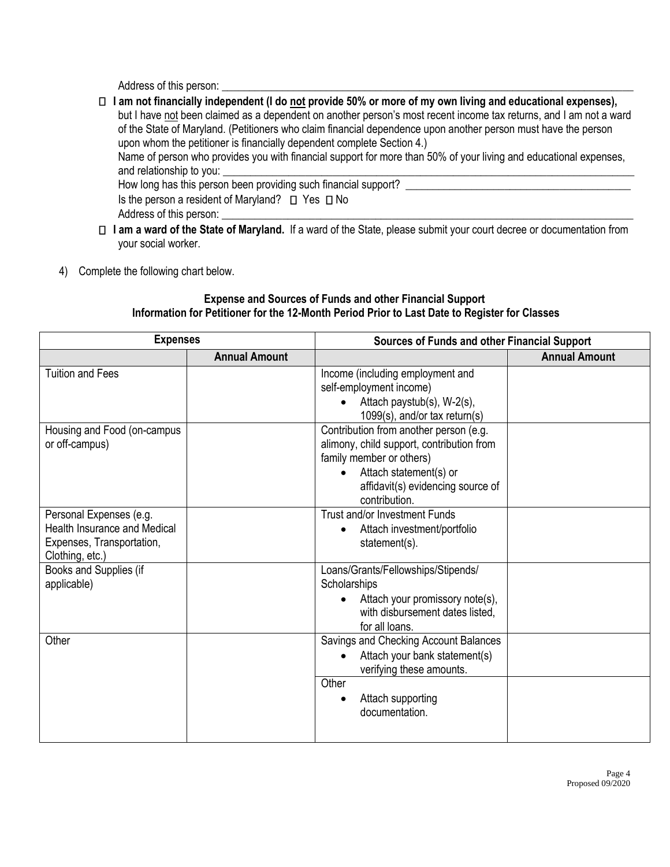Address of this person:

**I am not financially independent (I do not provide 50% or more of my own living and educational expenses),**  but I have not been claimed as a dependent on another person's most recent income tax returns, and I am not a ward of the State of Maryland. (Petitioners who claim financial dependence upon another person must have the person upon whom the petitioner is financially dependent complete Section 4.) Name of person who provides you with financial support for more than 50% of your living and educational expenses, and relationship to you: How long has this person been providing such financial support? Is the person a resident of Maryland?  $\Box$  Yes  $\Box$  No Address of this person:

- **I am a ward of the State of Maryland.** If a ward of the State, please submit your court decree or documentation from your social worker.
- 4) Complete the following chart below.

## **Expense and Sources of Funds and other Financial Support Information for Petitioner for the 12-Month Period Prior to Last Date to Register for Classes**

| <b>Expenses</b>                                                                                                |                      | Sources of Funds and other Financial Support                                                                                                                                                                 |                      |  |
|----------------------------------------------------------------------------------------------------------------|----------------------|--------------------------------------------------------------------------------------------------------------------------------------------------------------------------------------------------------------|----------------------|--|
|                                                                                                                | <b>Annual Amount</b> |                                                                                                                                                                                                              | <b>Annual Amount</b> |  |
| <b>Tuition and Fees</b>                                                                                        |                      | Income (including employment and<br>self-employment income)<br>Attach paystub(s), W-2(s),<br>1099(s), and/or tax return(s)                                                                                   |                      |  |
| Housing and Food (on-campus<br>or off-campus)                                                                  |                      | Contribution from another person (e.g.<br>alimony, child support, contribution from<br>family member or others)<br>Attach statement(s) or<br>$\bullet$<br>affidavit(s) evidencing source of<br>contribution. |                      |  |
| Personal Expenses (e.g.<br><b>Health Insurance and Medical</b><br>Expenses, Transportation,<br>Clothing, etc.) |                      | Trust and/or Investment Funds<br>Attach investment/portfolio<br>$\bullet$<br>statement(s).                                                                                                                   |                      |  |
| Books and Supplies (if<br>applicable)                                                                          |                      | Loans/Grants/Fellowships/Stipends/<br>Scholarships<br>Attach your promissory note(s),<br>with disbursement dates listed,<br>for all loans.                                                                   |                      |  |
| Other                                                                                                          |                      | Savings and Checking Account Balances<br>Attach your bank statement(s)<br>verifying these amounts.<br>Other<br>Attach supporting<br>documentation.                                                           |                      |  |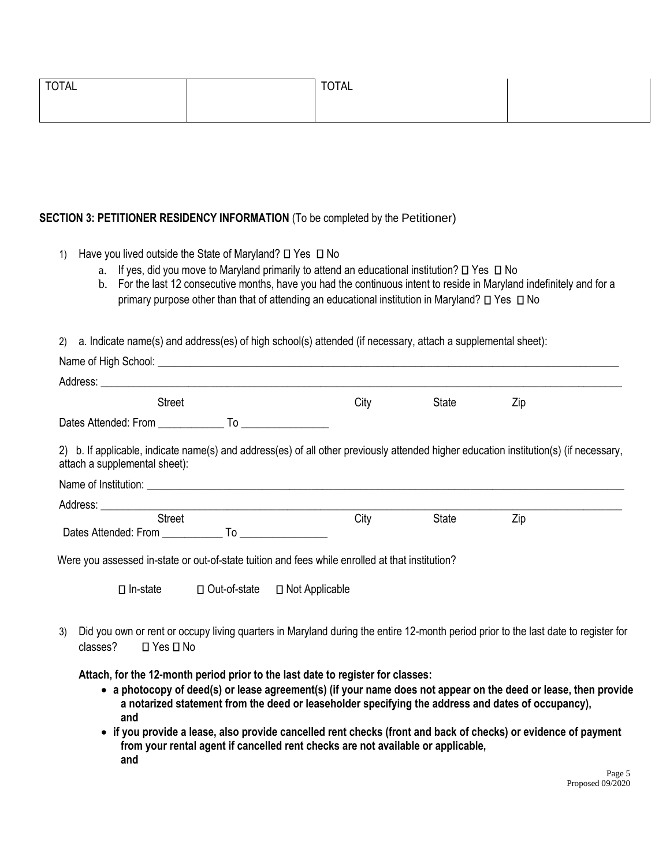| <b>TOTAL</b> | <b>TOTAL</b> |  |
|--------------|--------------|--|
|              |              |  |

#### **SECTION 3: PETITIONER RESIDENCY INFORMATION** (To be completed by the Petitioner)

- 1) Have you lived outside the State of Maryland?  $\Box$  Yes  $\Box$  No
	- a. If yes, did you move to Maryland primarily to attend an educational institution?  $\Box$  Yes  $\Box$  No
	- b. For the last 12 consecutive months, have you had the continuous intent to reside in Maryland indefinitely and for a primary purpose other than that of attending an educational institution in Maryland?  $\Box$  Yes  $\Box$  No

2) a. Indicate name(s) and address(es) of high school(s) attended (if necessary, attach a supplemental sheet):

| Name of High School: <u>Name of High School:</u>                                                                                                                                                                               |      |              |     |  |
|--------------------------------------------------------------------------------------------------------------------------------------------------------------------------------------------------------------------------------|------|--------------|-----|--|
| Address: Analysis and the state of the state of the state of the state of the state of the state of the state of the state of the state of the state of the state of the state of the state of the state of the state of the s |      |              |     |  |
| <b>Street</b>                                                                                                                                                                                                                  | City | State        | Zip |  |
|                                                                                                                                                                                                                                |      |              |     |  |
| 2) b. If applicable, indicate name(s) and address(es) of all other previously attended higher education institution(s) (if necessary,<br>attach a supplemental sheet):                                                         |      |              |     |  |
|                                                                                                                                                                                                                                |      |              |     |  |
| <b>Street</b>                                                                                                                                                                                                                  | City | <b>State</b> | Zip |  |
| Dates Attended: From To To                                                                                                                                                                                                     |      |              |     |  |
|                                                                                                                                                                                                                                |      |              |     |  |

Were you assessed in-state or out-of-state tuition and fees while enrolled at that institution?

In-state Out-of-state Not Applicable

3) Did you own or rent or occupy living quarters in Maryland during the entire 12-month period prior to the last date to register for  $classes?$   $\Box$  Yes  $\Box$  No

**Attach, for the 12-month period prior to the last date to register for classes:**

- **a photocopy of deed(s) or lease agreement(s) (if your name does not appear on the deed or lease, then provide a notarized statement from the deed or leaseholder specifying the address and dates of occupancy), and**
- **if you provide a lease, also provide cancelled rent checks (front and back of checks) or evidence of payment from your rental agent if cancelled rent checks are not available or applicable, and**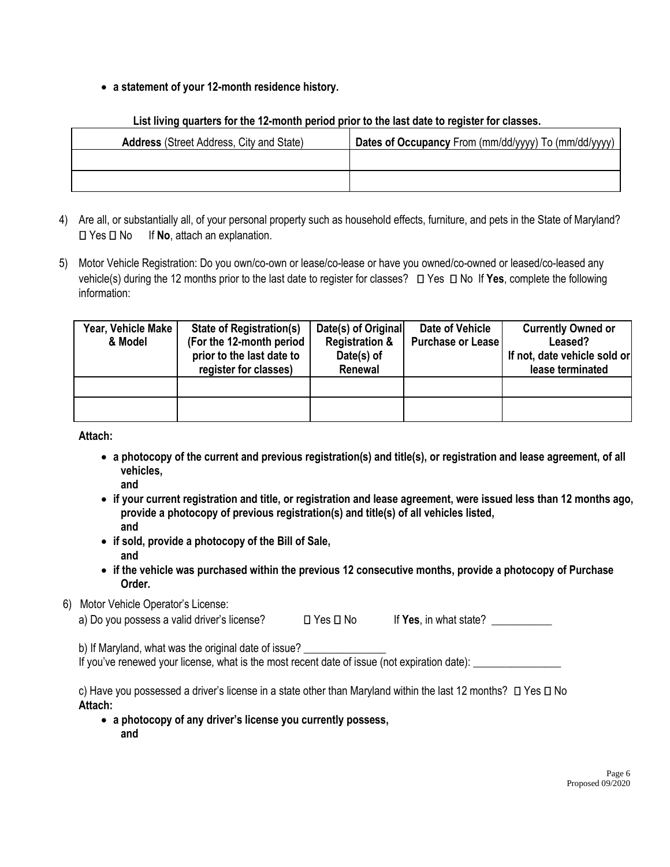## • **a statement of your 12-month residence history.**

# **Address** (Street Address, City and State) **Dates of Occupancy** From (mm/dd/yyyy) To (mm/dd/yyyy)

#### **List living quarters for the 12-month period prior to the last date to register for classes.**

- 4) Are all, or substantially all, of your personal property such as household effects, furniture, and pets in the State of Maryland? Yes No If **No**, attach an explanation.
- 5) Motor Vehicle Registration: Do you own/co-own or lease/co-lease or have you owned/co-owned or leased/co-leased any vehicle(s) during the 12 months prior to the last date to register for classes?  $\Box$  Yes  $\Box$  No If Yes, complete the following information:

| Year, Vehicle Make<br>& Model | <b>State of Registration(s)</b><br>(For the 12-month period<br>prior to the last date to<br>register for classes) | Date(s) of Original<br><b>Registration &amp;</b><br>Date(s) of<br>Renewal | Date of Vehicle<br><b>Purchase or Lease</b> | <b>Currently Owned or</b><br>Leased?<br>If not, date vehicle sold or<br>lease terminated |
|-------------------------------|-------------------------------------------------------------------------------------------------------------------|---------------------------------------------------------------------------|---------------------------------------------|------------------------------------------------------------------------------------------|
|                               |                                                                                                                   |                                                                           |                                             |                                                                                          |
|                               |                                                                                                                   |                                                                           |                                             |                                                                                          |

**Attach:** 

- **a photocopy of the current and previous registration(s) and title(s), or registration and lease agreement, of all vehicles,** 
	- **and**
- **if your current registration and title, or registration and lease agreement, were issued less than 12 months ago, provide a photocopy of previous registration(s) and title(s) of all vehicles listed, and**
- **if sold, provide a photocopy of the Bill of Sale, and**
- **if the vehicle was purchased within the previous 12 consecutive months, provide a photocopy of Purchase Order.**

# 6) Motor Vehicle Operator's License:

|  | a) Do you possess a valid driver's license? | $\Box$ Yes $\Box$ No | If Yes, in what state? |  |
|--|---------------------------------------------|----------------------|------------------------|--|
|  |                                             |                      |                        |  |

b) If Maryland, what was the original date of issue?

If you've renewed your license, what is the most recent date of issue (not expiration date):

c) Have you possessed a driver's license in a state other than Maryland within the last 12 months?  $\Box$  Yes  $\Box$  No **Attach:** 

• **a photocopy of any driver's license you currently possess, and**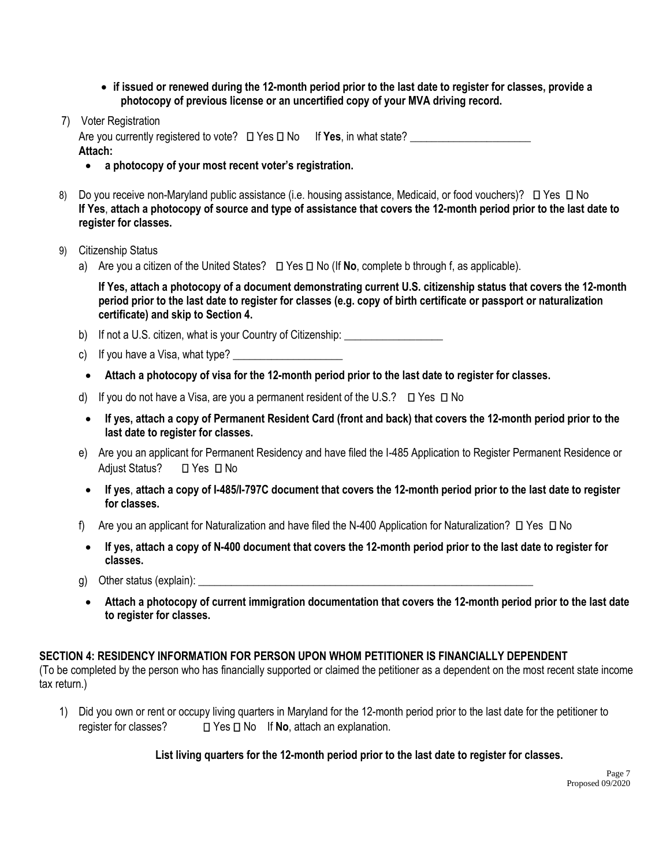- **if issued or renewed during the 12-month period prior to the last date to register for classes, provide a photocopy of previous license or an uncertified copy of your MVA driving record.**
- 7) Voter Registration

Are you currently registered to vote?  $\square$  Yes  $\square$  No If **Yes**, in what state? **Attach:** 

- **a photocopy of your most recent voter's registration.**
- 8) Do you receive non-Maryland public assistance (i.e. housing assistance, Medicaid, or food vouchers)? **D** Yes **D** No **If Yes**, **attach a photocopy of source and type of assistance that covers the 12-month period prior to the last date to register for classes.**
- 9) Citizenship Status
	- a) Are you a citizen of the United States?  $\Box$  Yes  $\Box$  No (If **No**, complete b through f, as applicable).

**If Yes, attach a photocopy of a document demonstrating current U.S. citizenship status that covers the 12-month period prior to the last date to register for classes (e.g. copy of birth certificate or passport or naturalization certificate) and skip to Section 4.** 

- b) If not a U.S. citizen, what is your Country of Citizenship: \_\_\_\_\_\_\_\_\_\_\_\_\_\_\_\_\_
- c) If you have a Visa, what type?
- **Attach a photocopy of visa for the 12-month period prior to the last date to register for classes.**
- d) If you do not have a Visa, are you a permanent resident of the U.S.?  $\Box$  Yes  $\Box$  No
- **If yes, attach a copy of Permanent Resident Card (front and back) that covers the 12-month period prior to the last date to register for classes.**
- e) Are you an applicant for Permanent Residency and have filed the I-485 Application to Register Permanent Residence or Adjust Status? **□ Yes** □ No
- **If yes**, **attach a copy of I-485/I-797C document that covers the 12-month period prior to the last date to register for classes.**
- f) Are you an applicant for Naturalization and have filed the N-400 Application for Naturalization?  $\Box$  Yes  $\Box$  No
- **If yes, attach a copy of N-400 document that covers the 12-month period prior to the last date to register for classes.**
- g) Other status (explain):  $\Box$
- **Attach a photocopy of current immigration documentation that covers the 12-month period prior to the last date to register for classes.**

#### **SECTION 4: RESIDENCY INFORMATION FOR PERSON UPON WHOM PETITIONER IS FINANCIALLY DEPENDENT**

(To be completed by the person who has financially supported or claimed the petitioner as a dependent on the most recent state income tax return.)

1) Did you own or rent or occupy living quarters in Maryland for the 12-month period prior to the last date for the petitioner to register for classes?  $\Box$  Yes  $\Box$  No If **No**, attach an explanation.

**List living quarters for the 12-month period prior to the last date to register for classes.**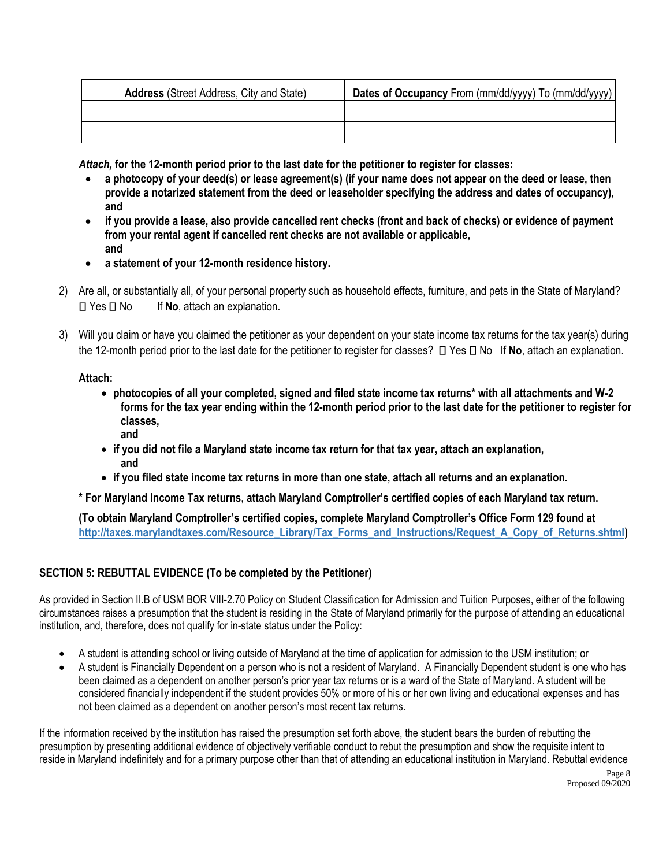| <b>Address</b> (Street Address, City and State) | Dates of Occupancy From (mm/dd/yyyy) To (mm/dd/yyyy) |
|-------------------------------------------------|------------------------------------------------------|
|                                                 |                                                      |
|                                                 |                                                      |

*Attach,* **for the 12-month period prior to the last date for the petitioner to register for classes:** 

- **a photocopy of your deed(s) or lease agreement(s) (if your name does not appear on the deed or lease, then provide a notarized statement from the deed or leaseholder specifying the address and dates of occupancy), and**
- **if you provide a lease, also provide cancelled rent checks (front and back of checks) or evidence of payment from your rental agent if cancelled rent checks are not available or applicable, and**
- **a statement of your 12-month residence history.**
- 2) Are all, or substantially all, of your personal property such as household effects, furniture, and pets in the State of Maryland? □ Yes □ No If No, attach an explanation.
- 3) Will you claim or have you claimed the petitioner as your dependent on your state income tax returns for the tax year(s) during the 12-month period prior to the last date for the petitioner to register for classes?  $\Box$  Yes  $\Box$  No If **No**, attach an explanation.

#### **Attach:**

- **photocopies of all your completed, signed and filed state income tax returns\* with all attachments and W-2 forms for the tax year ending within the 12-month period prior to the last date for the petitioner to register for classes, and**
- **if you did not file a Maryland state income tax return for that tax year, attach an explanation, and**
- **if you filed state income tax returns in more than one state, attach all returns and an explanation.**

**\* For Maryland Income Tax returns, attach Maryland Comptroller's certified copies of each Maryland tax return.** 

**(To obtain Maryland Comptroller's certified copies, complete Maryland Comptroller's Office Form 129 found at [http://taxes.marylandtaxes.com/Resource\\_Library/Tax\\_Forms\\_and\\_Instructions/Request\\_A\\_Copy\\_of\\_Returns.shtml\)](http://taxes.marylandtaxes.com/Resource_Library/Tax_Forms_and_Instructions/Request_A_Copy_of_Returns.shtml)** 

# **SECTION 5: REBUTTAL EVIDENCE (To be completed by the Petitioner)**

As provided in Section II.B of USM BOR VIII-2.70 Policy on Student Classification for Admission and Tuition Purposes, either of the following circumstances raises a presumption that the student is residing in the State of Maryland primarily for the purpose of attending an educational institution, and, therefore, does not qualify for in-state status under the Policy:

- A student is attending school or living outside of Maryland at the time of application for admission to the USM institution; or
- A student is Financially Dependent on a person who is not a resident of Maryland. A Financially Dependent student is one who has been claimed as a dependent on another person's prior year tax returns or is a ward of the State of Maryland. A student will be considered financially independent if the student provides 50% or more of his or her own living and educational expenses and has not been claimed as a dependent on another person's most recent tax returns.

If the information received by the institution has raised the presumption set forth above, the student bears the burden of rebutting the presumption by presenting additional evidence of objectively verifiable conduct to rebut the presumption and show the requisite intent to reside in Maryland indefinitely and for a primary purpose other than that of attending an educational institution in Maryland. Rebuttal evidence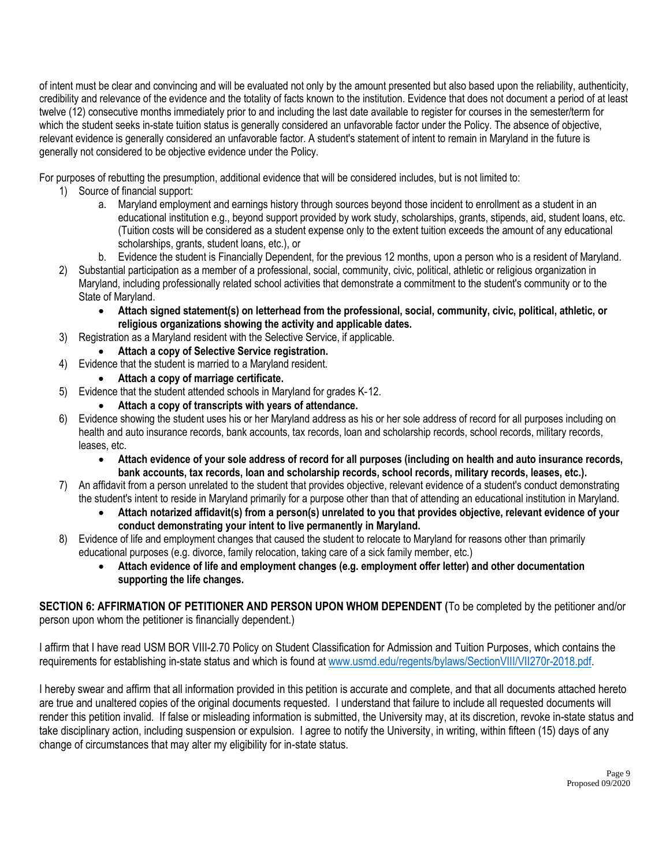of intent must be clear and convincing and will be evaluated not only by the amount presented but also based upon the reliability, authenticity, credibility and relevance of the evidence and the totality of facts known to the institution. Evidence that does not document a period of at least twelve (12) consecutive months immediately prior to and including the last date available to register for courses in the semester/term for which the student seeks in-state tuition status is generally considered an unfavorable factor under the Policy. The absence of objective, relevant evidence is generally considered an unfavorable factor. A student's statement of intent to remain in Maryland in the future is generally not considered to be objective evidence under the Policy.

For purposes of rebutting the presumption, additional evidence that will be considered includes, but is not limited to:

- 1) Source of financial support:
	- a. Maryland employment and earnings history through sources beyond those incident to enrollment as a student in an educational institution e.g., beyond support provided by work study, scholarships, grants, stipends, aid, student loans, etc. (Tuition costs will be considered as a student expense only to the extent tuition exceeds the amount of any educational scholarships, grants, student loans, etc.), or
	- b. Evidence the student is Financially Dependent, for the previous 12 months, upon a person who is a resident of Maryland.
- 2) Substantial participation as a member of a professional, social, community, civic, political, athletic or religious organization in Maryland, including professionally related school activities that demonstrate a commitment to the student's community or to the State of Maryland.
	- **Attach signed statement(s) on letterhead from the professional, social, community, civic, political, athletic, or religious organizations showing the activity and applicable dates.**
- 3) Registration as a Maryland resident with the Selective Service, if applicable.
	- **Attach a copy of Selective Service registration.**
- 4) Evidence that the student is married to a Maryland resident.
	- **Attach a copy of marriage certificate.**
- 5) Evidence that the student attended schools in Maryland for grades K‐12.
	- **Attach a copy of transcripts with years of attendance.**
- 6) Evidence showing the student uses his or her Maryland address as his or her sole address of record for all purposes including on health and auto insurance records, bank accounts, tax records, loan and scholarship records, school records, military records, leases, etc.
	- **Attach evidence of your sole address of record for all purposes (including on health and auto insurance records, bank accounts, tax records, loan and scholarship records, school records, military records, leases, etc.).**
- 7) An affidavit from a person unrelated to the student that provides objective, relevant evidence of a student's conduct demonstrating the student's intent to reside in Maryland primarily for a purpose other than that of attending an educational institution in Maryland.
	- **Attach notarized affidavit(s) from a person(s) unrelated to you that provides objective, relevant evidence of your conduct demonstrating your intent to live permanently in Maryland.**
- 8) Evidence of life and employment changes that caused the student to relocate to Maryland for reasons other than primarily educational purposes (e.g. divorce, family relocation, taking care of a sick family member, etc.)
	- **Attach evidence of life and employment changes (e.g. employment offer letter) and other documentation supporting the life changes.**

**SECTION 6: AFFIRMATION OF PETITIONER AND PERSON UPON WHOM DEPENDENT (**To be completed by the petitioner and/or person upon whom the petitioner is financially dependent.)

I affirm that I have read USM BOR VIII-2.70 Policy on Student Classification for Admission and Tuition Purposes, which contains the requirements for establishing in-state status and which is found at [www.usmd.edu/regents/bylaws/SectionVIII/VII270r-2018.pdf.](http://www.usmd.edu/regents/bylaws/SectionVIII/VII270r-2018.pdf)

I hereby swear and affirm that all information provided in this petition is accurate and complete, and that all documents attached hereto are true and unaltered copies of the original documents requested. I understand that failure to include all requested documents will render this petition invalid. If false or misleading information is submitted, the University may, at its discretion, revoke in-state status and take disciplinary action, including suspension or expulsion. I agree to notify the University, in writing, within fifteen (15) days of any change of circumstances that may alter my eligibility for in-state status.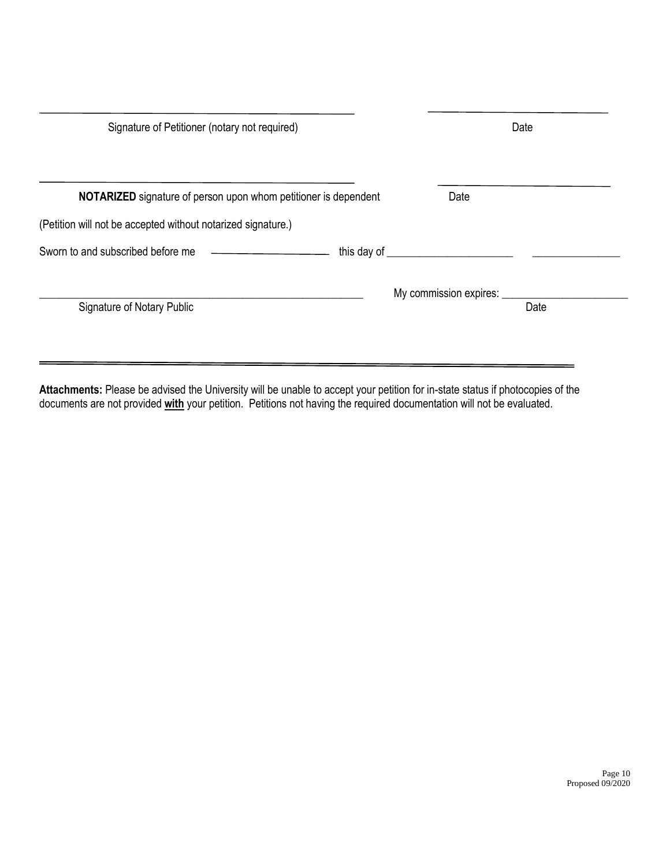|                                                                        | Date                   |      |
|------------------------------------------------------------------------|------------------------|------|
| <b>NOTARIZED</b> signature of person upon whom petitioner is dependent | Date                   |      |
| (Petition will not be accepted without notarized signature.)           |                        |      |
|                                                                        |                        |      |
| <b>Signature of Notary Public</b>                                      | My commission expires: | Date |

**Attachments:** Please be advised the University will be unable to accept your petition for in-state status if photocopies of the documents are not provided **with** your petition. Petitions not having the required documentation will not be evaluated.